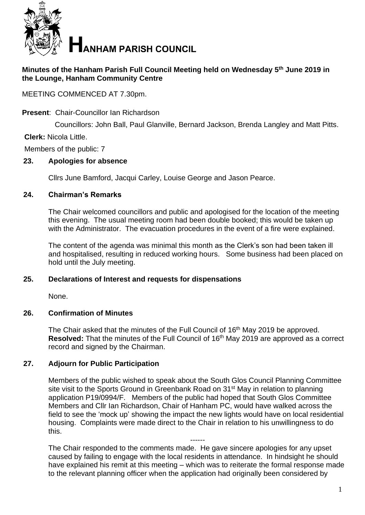

## **Minutes of the Hanham Parish Full Council Meeting held on Wednesday 5 th June 2019 in the Lounge, Hanham Community Centre**

MEETING COMMENCED AT 7.30pm.

### **Present**: Chair-Councillor Ian Richardson

Councillors: John Ball, Paul Glanville, Bernard Jackson, Brenda Langley and Matt Pitts.

### **Clerk:** Nicola Little.

Members of the public: 7

### **23. Apologies for absence**

Cllrs June Bamford, Jacqui Carley, Louise George and Jason Pearce.

### **24. Chairman's Remarks**

The Chair welcomed councillors and public and apologised for the location of the meeting this evening. The usual meeting room had been double booked; this would be taken up with the Administrator. The evacuation procedures in the event of a fire were explained.

The content of the agenda was minimal this month as the Clerk's son had been taken ill and hospitalised, resulting in reduced working hours. Some business had been placed on hold until the July meeting.

### **25. Declarations of Interest and requests for dispensations**

None.

### **26. Confirmation of Minutes**

The Chair asked that the minutes of the Full Council of 16<sup>th</sup> May 2019 be approved. Resolved: That the minutes of the Full Council of 16<sup>th</sup> May 2019 are approved as a correct record and signed by the Chairman.

### **27. Adjourn for Public Participation**

Members of the public wished to speak about the South Glos Council Planning Committee site visit to the Sports Ground in Greenbank Road on 31<sup>st</sup> May in relation to planning application P19/0994/F. Members of the public had hoped that South Glos Committee Members and Cllr Ian Richardson, Chair of Hanham PC, would have walked across the field to see the 'mock up' showing the impact the new lights would have on local residential housing. Complaints were made direct to the Chair in relation to his unwillingness to do this.

------ The Chair responded to the comments made. He gave sincere apologies for any upset caused by failing to engage with the local residents in attendance. In hindsight he should have explained his remit at this meeting – which was to reiterate the formal response made to the relevant planning officer when the application had originally been considered by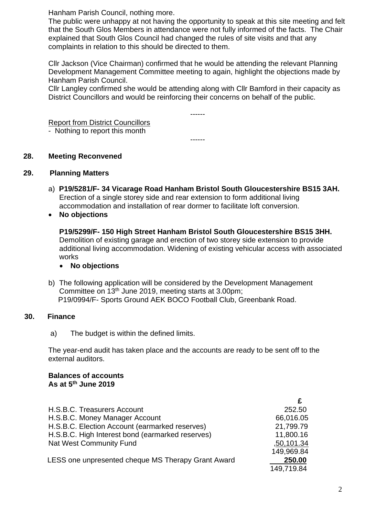Hanham Parish Council, nothing more.

The public were unhappy at not having the opportunity to speak at this site meeting and felt that the South Glos Members in attendance were not fully informed of the facts. The Chair explained that South Glos Council had changed the rules of site visits and that any complaints in relation to this should be directed to them.

Cllr Jackson (Vice Chairman) confirmed that he would be attending the relevant Planning Development Management Committee meeting to again, highlight the objections made by Hanham Parish Council.

Cllr Langley confirmed she would be attending along with Cllr Bamford in their capacity as District Councillors and would be reinforcing their concerns on behalf of the public.

------

------

Report from District Councillors

- Nothing to report this month

### **28. Meeting Reconvened**

### **29. Planning Matters**

- a) **P19/5281/F- 34 Vicarage Road Hanham Bristol South Gloucestershire BS15 3AH.**  Erection of a single storey side and rear extension to form additional living accommodation and installation of rear dormer to facilitate loft conversion.
- **No objections**

**P19/5299/F- 150 High Street Hanham Bristol South Gloucestershire BS15 3HH.**  Demolition of existing garage and erection of two storey side extension to provide additional living accommodation. Widening of existing vehicular access with associated works

### • **No objections**

b) The following application will be considered by the Development Management Committee on 13th June 2019, meeting starts at 3.00pm; P19/0994/F- Sports Ground AEK BOCO Football Club, Greenbank Road.

### **Finance 30. Finance**

a) The budget is within the defined limits.

The year-end audit has taken place and the accounts are ready to be sent off to the external auditors.

#### **Balances of accounts As at 5 th June 2019**

|                                                    | £          |
|----------------------------------------------------|------------|
| H.S.B.C. Treasurers Account                        | 252.50     |
| H.S.B.C. Money Manager Account                     | 66,016.05  |
| H.S.B.C. Election Account (earmarked reserves)     | 21,799.79  |
| H.S.B.C. High Interest bond (earmarked reserves)   | 11,800.16  |
| Nat West Community Fund                            | ,50,101.34 |
|                                                    | 149,969.84 |
| LESS one unpresented cheque MS Therapy Grant Award | 250.00     |
|                                                    | 149,719.84 |